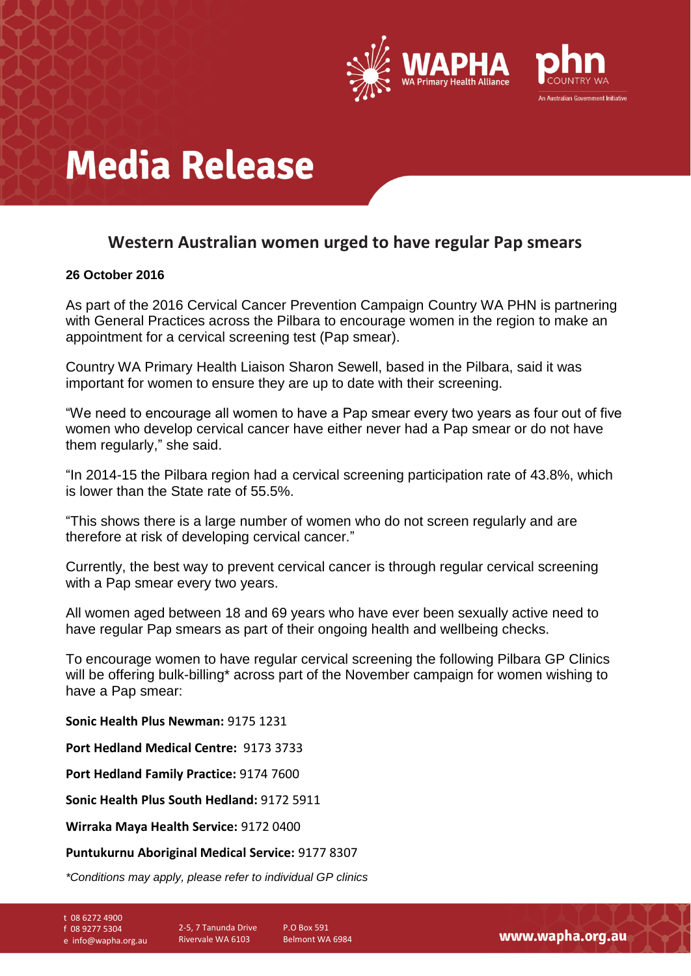

## **Media Release**

### **Western Australian women urged to have regular Pap smears**

#### **26 October 2016**

As part of the 2016 Cervical Cancer Prevention Campaign Country WA PHN is partnering with General Practices across the Pilbara to encourage women in the region to make an appointment for a cervical screening test (Pap smear).

Country WA Primary Health Liaison Sharon Sewell, based in the Pilbara, said it was important for women to ensure they are up to date with their screening.

"We need to encourage all women to have a Pap smear every two years as four out of five women who develop cervical cancer have either never had a Pap smear or do not have them regularly," she said.

"In 2014-15 the Pilbara region had a cervical screening participation rate of 43.8%, which is lower than the State rate of 55.5%.

"This shows there is a large number of women who do not screen regularly and are therefore at risk of developing cervical cancer."

Currently, the best way to prevent cervical cancer is through regular cervical screening with a Pap smear every two years.

All women aged between 18 and 69 years who have ever been sexually active need to have regular Pap smears as part of their ongoing health and wellbeing checks.

To encourage women to have regular cervical screening the following Pilbara GP Clinics will be offering bulk-billing\* across part of the November campaign for women wishing to have a Pap smear:

**Sonic Health Plus Newman:** 9175 1231

**Port Hedland Medical Centre:** 9173 3733

**Port Hedland Family Practice:** 9174 7600

**Sonic Health Plus South Hedland:** 9172 5911

**Wirraka Maya Health Service:** 9172 0400

#### **Puntukurnu Aboriginal Medical Service:** 9177 8307

*\*Conditions may apply, please refer to individual GP clinics*

- t 08 6272 4900
- f 08 9277 5304
- e info@wapha.org.au